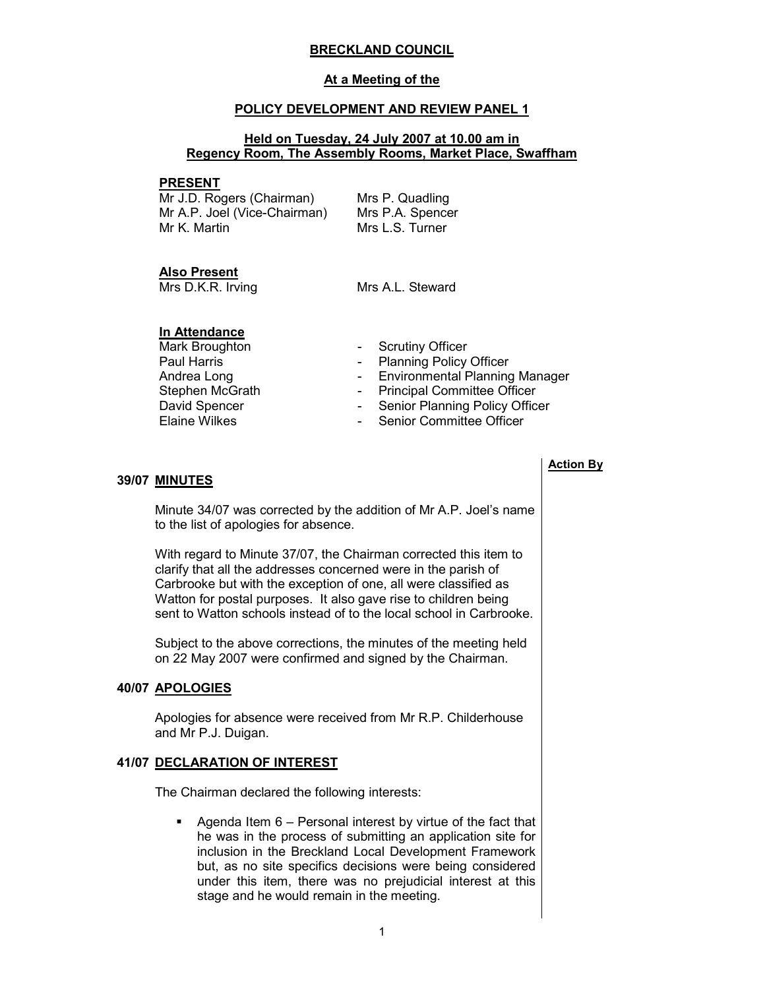### BRECKLAND COUNCIL

### At a Meeting of the

### POLICY DEVELOPMENT AND REVIEW PANEL 1

### Held on Tuesday, 24 July 2007 at 10.00 am in Regency Room, The Assembly Rooms, Market Place, Swaffham

### PRESENT

Mr J.D. Rogers (Chairman) Mr A.P. Joel (Vice-Chairman) Mr K. Martin

Mrs P. Quadling Mrs P.A. Spencer Mrs L.S. Turner

### Also Present

Mrs D.K.R. Irving Mrs A.L. Steward

### In Attendance

Andrea Long<br>
Stephen McGrath<br>
- Principal Committee Officer<br>
Committee Officer David Spencer The Senior Planning Policy Officer<br>Elaine Wilkes The Senior Committee Officer

- Mark Broughton  **Scrutiny Officer**
- Paul Harris **Paul Harris Planning Policy Officer** 
	-
	- Principal Committee Officer
		-
	- Senior Committee Officer

### **39/07 MINUTES**

 Minute 34/07 was corrected by the addition of Mr A.P. Joel's name to the list of apologies for absence.

With regard to Minute 37/07, the Chairman corrected this item to clarify that all the addresses concerned were in the parish of Carbrooke but with the exception of one, all were classified as Watton for postal purposes. It also gave rise to children being sent to Watton schools instead of to the local school in Carbrooke.

Subject to the above corrections, the minutes of the meeting held on 22 May 2007 were confirmed and signed by the Chairman.

### 40/07 APOLOGIES

 Apologies for absence were received from Mr R.P. Childerhouse and Mr P.J. Duigan.

### 41/07 DECLARATION OF INTEREST

The Chairman declared the following interests:

Agenda Item  $6$  – Personal interest by virtue of the fact that he was in the process of submitting an application site for inclusion in the Breckland Local Development Framework but, as no site specifics decisions were being considered under this item, there was no prejudicial interest at this stage and he would remain in the meeting.

### Action By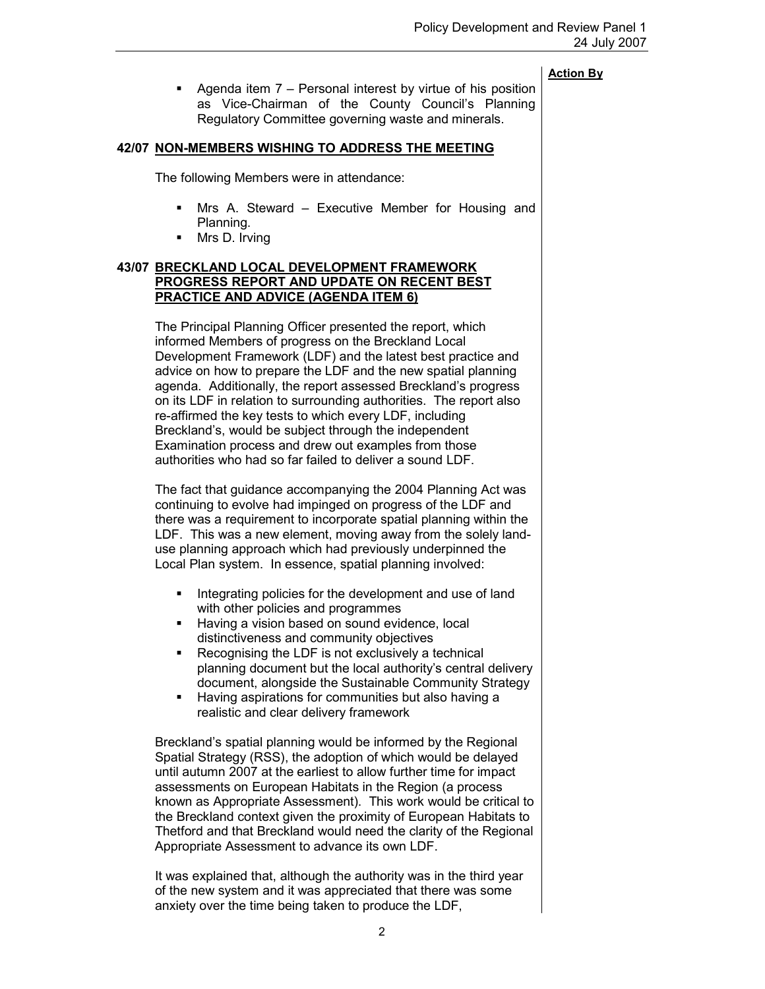■ Agenda item 7 – Personal interest by virtue of his position as Vice-Chairman of the County Council's Planning Regulatory Committee governing waste and minerals.

### 42/07 NON-MEMBERS WISHING TO ADDRESS THE MEETING

The following Members were in attendance:

- Mrs A. Steward Executive Member for Housing and Planning.
- Mrs D. Irving

### 43/07 BRECKLAND LOCAL DEVELOPMENT FRAMEWORK PROGRESS REPORT AND UPDATE ON RECENT BEST PRACTICE AND ADVICE (AGENDA ITEM 6)

 The Principal Planning Officer presented the report, which informed Members of progress on the Breckland Local Development Framework (LDF) and the latest best practice and advice on how to prepare the LDF and the new spatial planning agenda. Additionally, the report assessed Breckland's progress on its LDF in relation to surrounding authorities. The report also re-affirmed the key tests to which every LDF, including Breckland's, would be subject through the independent Examination process and drew out examples from those authorities who had so far failed to deliver a sound LDF.

The fact that guidance accompanying the 2004 Planning Act was continuing to evolve had impinged on progress of the LDF and there was a requirement to incorporate spatial planning within the LDF. This was a new element, moving away from the solely landuse planning approach which had previously underpinned the Local Plan system. In essence, spatial planning involved:

- Integrating policies for the development and use of land with other policies and programmes
- Having a vision based on sound evidence, local distinctiveness and community objectives
- Recognising the LDF is not exclusively a technical planning document but the local authority's central delivery document, alongside the Sustainable Community Strategy
- § Having aspirations for communities but also having a realistic and clear delivery framework

Breckland's spatial planning would be informed by the Regional Spatial Strategy (RSS), the adoption of which would be delayed until autumn 2007 at the earliest to allow further time for impact assessments on European Habitats in the Region (a process known as Appropriate Assessment). This work would be critical to the Breckland context given the proximity of European Habitats to Thetford and that Breckland would need the clarity of the Regional Appropriate Assessment to advance its own LDF.

It was explained that, although the authority was in the third year of the new system and it was appreciated that there was some anxiety over the time being taken to produce the LDF,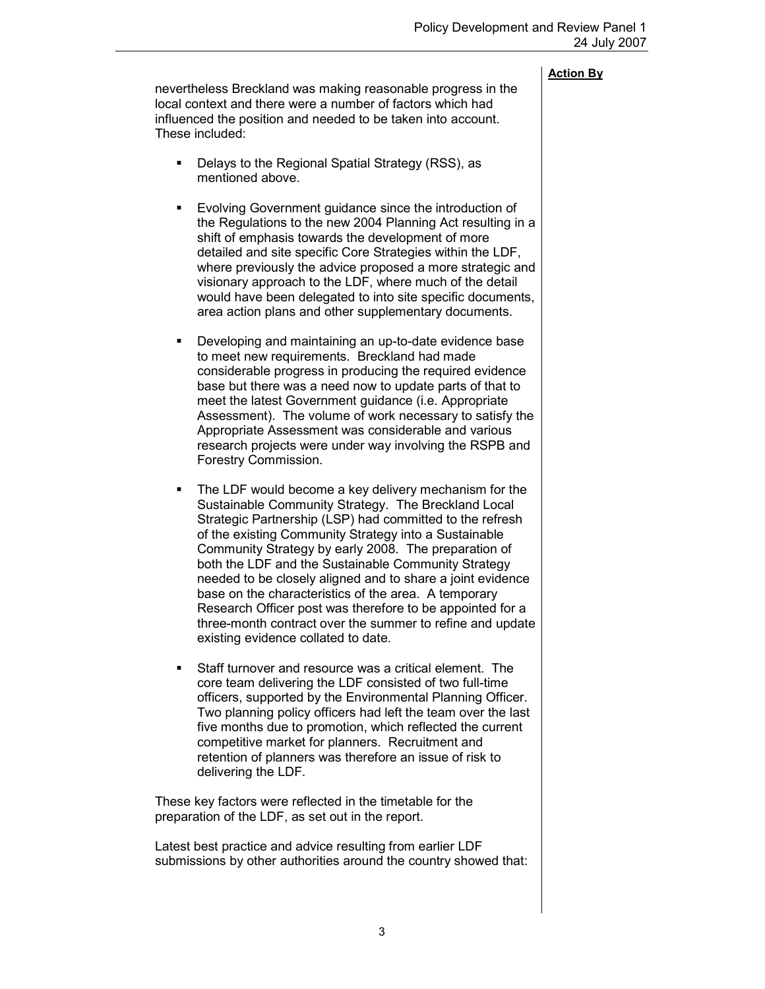nevertheless Breckland was making reasonable progress in the local context and there were a number of factors which had influenced the position and needed to be taken into account. These included:

- Delays to the Regional Spatial Strategy (RSS), as mentioned above.
- Evolving Government guidance since the introduction of the Regulations to the new 2004 Planning Act resulting in a shift of emphasis towards the development of more detailed and site specific Core Strategies within the LDF, where previously the advice proposed a more strategic and visionary approach to the LDF, where much of the detail would have been delegated to into site specific documents, area action plans and other supplementary documents.
- Developing and maintaining an up-to-date evidence base to meet new requirements. Breckland had made considerable progress in producing the required evidence base but there was a need now to update parts of that to meet the latest Government guidance (i.e. Appropriate Assessment). The volume of work necessary to satisfy the Appropriate Assessment was considerable and various research projects were under way involving the RSPB and Forestry Commission.
- The LDF would become a key delivery mechanism for the Sustainable Community Strategy. The Breckland Local Strategic Partnership (LSP) had committed to the refresh of the existing Community Strategy into a Sustainable Community Strategy by early 2008. The preparation of both the LDF and the Sustainable Community Strategy needed to be closely aligned and to share a joint evidence base on the characteristics of the area. A temporary Research Officer post was therefore to be appointed for a three-month contract over the summer to refine and update existing evidence collated to date.
- Staff turnover and resource was a critical element. The core team delivering the LDF consisted of two full-time officers, supported by the Environmental Planning Officer. Two planning policy officers had left the team over the last five months due to promotion, which reflected the current competitive market for planners. Recruitment and retention of planners was therefore an issue of risk to delivering the LDF.

These key factors were reflected in the timetable for the preparation of the LDF, as set out in the report.

Latest best practice and advice resulting from earlier LDF submissions by other authorities around the country showed that: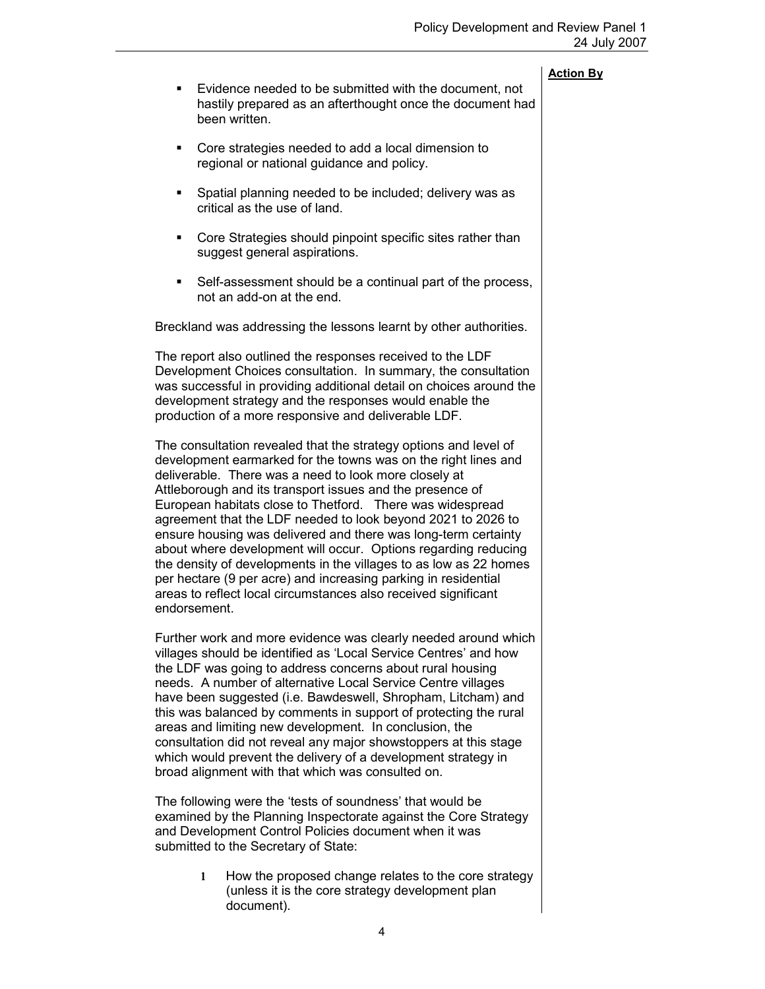|              |                                                                                                                                                                                                                                                                                                                                                                                                                                                                                                                                                                                                                                                                                                                                    | <b>Action By</b> |
|--------------|------------------------------------------------------------------------------------------------------------------------------------------------------------------------------------------------------------------------------------------------------------------------------------------------------------------------------------------------------------------------------------------------------------------------------------------------------------------------------------------------------------------------------------------------------------------------------------------------------------------------------------------------------------------------------------------------------------------------------------|------------------|
| ٠            | Evidence needed to be submitted with the document, not<br>hastily prepared as an afterthought once the document had<br>been written.                                                                                                                                                                                                                                                                                                                                                                                                                                                                                                                                                                                               |                  |
| ٠            | Core strategies needed to add a local dimension to<br>regional or national guidance and policy.                                                                                                                                                                                                                                                                                                                                                                                                                                                                                                                                                                                                                                    |                  |
| ٠            | Spatial planning needed to be included; delivery was as<br>critical as the use of land.                                                                                                                                                                                                                                                                                                                                                                                                                                                                                                                                                                                                                                            |                  |
| п            | Core Strategies should pinpoint specific sites rather than<br>suggest general aspirations.                                                                                                                                                                                                                                                                                                                                                                                                                                                                                                                                                                                                                                         |                  |
| п            | Self-assessment should be a continual part of the process,<br>not an add-on at the end.                                                                                                                                                                                                                                                                                                                                                                                                                                                                                                                                                                                                                                            |                  |
|              | Breckland was addressing the lessons learnt by other authorities.                                                                                                                                                                                                                                                                                                                                                                                                                                                                                                                                                                                                                                                                  |                  |
|              | The report also outlined the responses received to the LDF<br>Development Choices consultation. In summary, the consultation<br>was successful in providing additional detail on choices around the<br>development strategy and the responses would enable the<br>production of a more responsive and deliverable LDF.                                                                                                                                                                                                                                                                                                                                                                                                             |                  |
| endorsement. | The consultation revealed that the strategy options and level of<br>development earmarked for the towns was on the right lines and<br>deliverable. There was a need to look more closely at<br>Attleborough and its transport issues and the presence of<br>European habitats close to Thetford. There was widespread<br>agreement that the LDF needed to look beyond 2021 to 2026 to<br>ensure housing was delivered and there was long-term certainty<br>about where development will occur. Options regarding reducing<br>the density of developments in the villages to as low as 22 homes<br>per hectare (9 per acre) and increasing parking in residential<br>areas to reflect local circumstances also received significant |                  |
|              | Further work and more evidence was clearly needed around which<br>villages should be identified as 'Local Service Centres' and how<br>the LDF was going to address concerns about rural housing<br>needs. A number of alternative Local Service Centre villages<br>have been suggested (i.e. Bawdeswell, Shropham, Litcham) and<br>this was balanced by comments in support of protecting the rural<br>areas and limiting new development. In conclusion, the<br>consultation did not reveal any major showstoppers at this stage<br>which would prevent the delivery of a development strategy in                                                                                                                                 |                  |

The following were the 'tests of soundness' that would be examined by the Planning Inspectorate against the Core Strategy and Development Control Policies document when it was submitted to the Secretary of State:

broad alignment with that which was consulted on.

1 How the proposed change relates to the core strategy (unless it is the core strategy development plan document).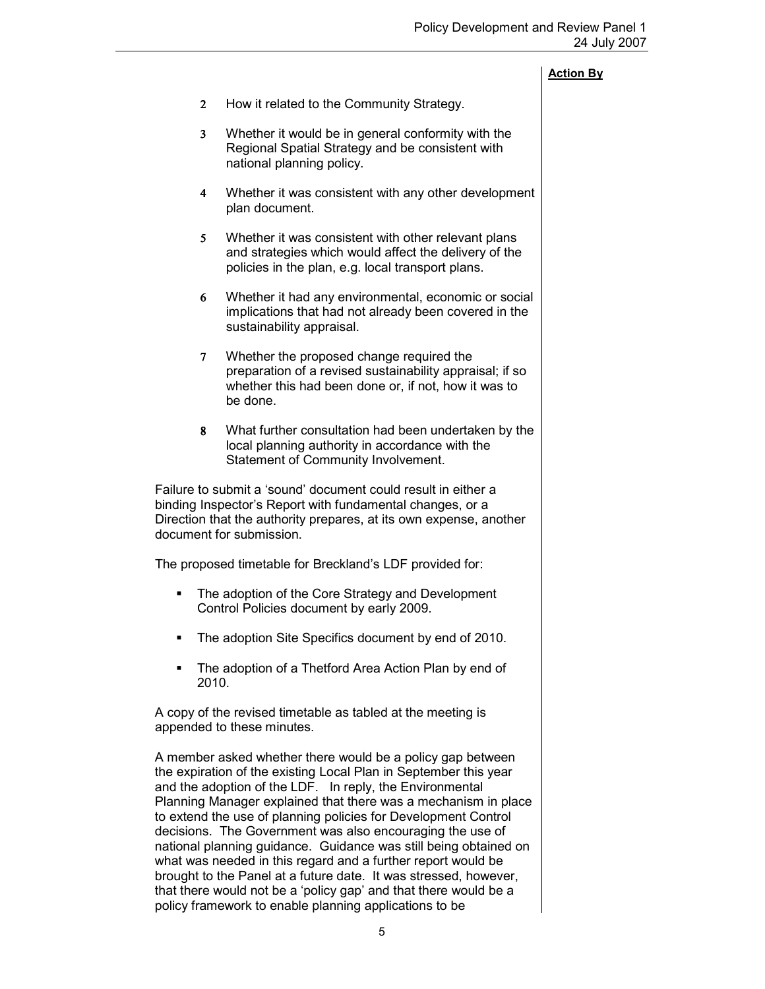- 2 How it related to the Community Strategy.
- 3 Whether it would be in general conformity with the Regional Spatial Strategy and be consistent with national planning policy.
- 4 Whether it was consistent with any other development plan document.
- 5 Whether it was consistent with other relevant plans and strategies which would affect the delivery of the policies in the plan, e.g. local transport plans.
- 6 Whether it had any environmental, economic or social implications that had not already been covered in the sustainability appraisal.
- 7 Whether the proposed change required the preparation of a revised sustainability appraisal; if so whether this had been done or, if not, how it was to be done.
- 8 What further consultation had been undertaken by the local planning authority in accordance with the Statement of Community Involvement.

Failure to submit a 'sound' document could result in either a binding Inspector's Report with fundamental changes, or a Direction that the authority prepares, at its own expense, another document for submission.

The proposed timetable for Breckland's LDF provided for:

- The adoption of the Core Strategy and Development Control Policies document by early 2009.
- The adoption Site Specifics document by end of 2010.
- The adoption of a Thetford Area Action Plan by end of 2010.

A copy of the revised timetable as tabled at the meeting is appended to these minutes.

A member asked whether there would be a policy gap between the expiration of the existing Local Plan in September this year and the adoption of the LDF. In reply, the Environmental Planning Manager explained that there was a mechanism in place to extend the use of planning policies for Development Control decisions. The Government was also encouraging the use of national planning guidance. Guidance was still being obtained on what was needed in this regard and a further report would be brought to the Panel at a future date. It was stressed, however, that there would not be a 'policy gap' and that there would be a policy framework to enable planning applications to be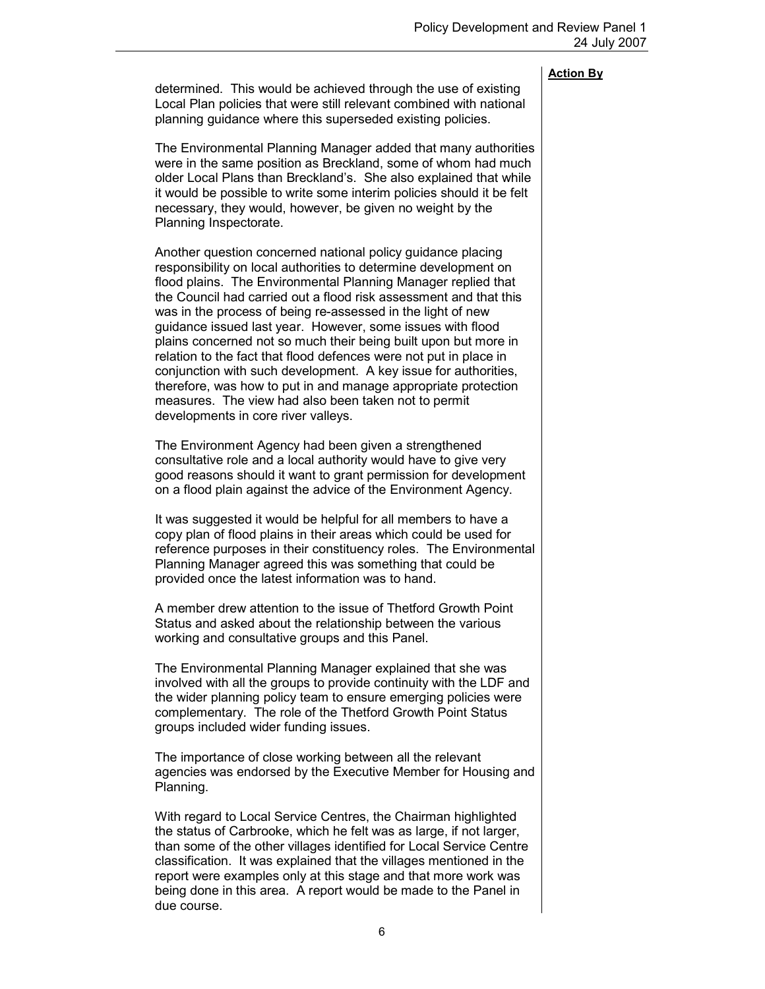determined. This would be achieved through the use of existing Local Plan policies that were still relevant combined with national planning guidance where this superseded existing policies.

The Environmental Planning Manager added that many authorities were in the same position as Breckland, some of whom had much older Local Plans than Breckland's. She also explained that while it would be possible to write some interim policies should it be felt necessary, they would, however, be given no weight by the Planning Inspectorate.

Another question concerned national policy guidance placing responsibility on local authorities to determine development on flood plains. The Environmental Planning Manager replied that the Council had carried out a flood risk assessment and that this was in the process of being re-assessed in the light of new guidance issued last year. However, some issues with flood plains concerned not so much their being built upon but more in relation to the fact that flood defences were not put in place in conjunction with such development. A key issue for authorities, therefore, was how to put in and manage appropriate protection measures. The view had also been taken not to permit developments in core river valleys.

The Environment Agency had been given a strengthened consultative role and a local authority would have to give very good reasons should it want to grant permission for development on a flood plain against the advice of the Environment Agency.

It was suggested it would be helpful for all members to have a copy plan of flood plains in their areas which could be used for reference purposes in their constituency roles. The Environmental Planning Manager agreed this was something that could be provided once the latest information was to hand.

A member drew attention to the issue of Thetford Growth Point Status and asked about the relationship between the various working and consultative groups and this Panel.

The Environmental Planning Manager explained that she was involved with all the groups to provide continuity with the LDF and the wider planning policy team to ensure emerging policies were complementary. The role of the Thetford Growth Point Status groups included wider funding issues.

The importance of close working between all the relevant agencies was endorsed by the Executive Member for Housing and Planning.

With regard to Local Service Centres, the Chairman highlighted the status of Carbrooke, which he felt was as large, if not larger, than some of the other villages identified for Local Service Centre classification. It was explained that the villages mentioned in the report were examples only at this stage and that more work was being done in this area. A report would be made to the Panel in due course.

Action By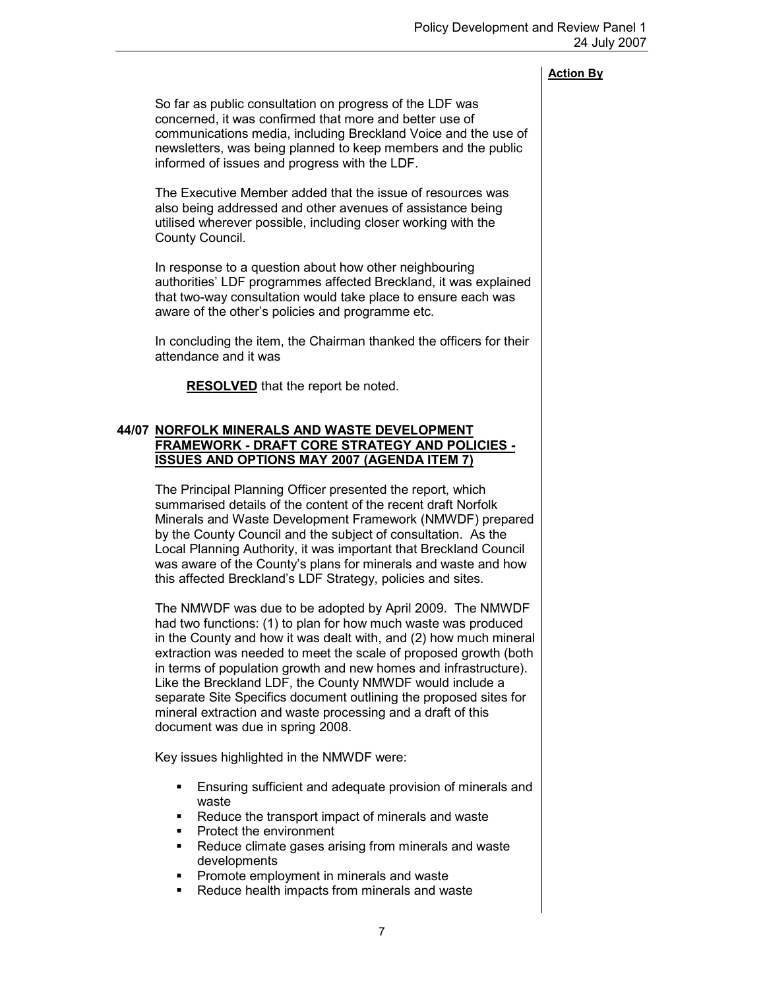So far as public consultation on progress of the LDF was concerned, it was confirmed that more and better use of communications media, including Breckland Voice and the use of newsletters, was being planned to keep members and the public informed of issues and progress with the LDF.

The Executive Member added that the issue of resources was also being addressed and other avenues of assistance being utilised wherever possible, including closer working with the County Council.

In response to a question about how other neighbouring authorities' LDF programmes affected Breckland, it was explained that two-way consultation would take place to ensure each was aware of the other's policies and programme etc.

In concluding the item, the Chairman thanked the officers for their attendance and it was

RESOLVED that the report be noted.

### 44/07 NORFOLK MINERALS AND WASTE DEVELOPMENT FRAMEWORK - DRAFT CORE STRATEGY AND POLICIES - ISSUES AND OPTIONS MAY 2007 (AGENDA ITEM 7)

 The Principal Planning Officer presented the report, which summarised details of the content of the recent draft Norfolk Minerals and Waste Development Framework (NMWDF) prepared by the County Council and the subject of consultation. As the Local Planning Authority, it was important that Breckland Council was aware of the County's plans for minerals and waste and how this affected Breckland's LDF Strategy, policies and sites.

The NMWDF was due to be adopted by April 2009. The NMWDF had two functions: (1) to plan for how much waste was produced in the County and how it was dealt with, and (2) how much mineral extraction was needed to meet the scale of proposed growth (both in terms of population growth and new homes and infrastructure). Like the Breckland LDF, the County NMWDF would include a separate Site Specifics document outlining the proposed sites for mineral extraction and waste processing and a draft of this document was due in spring 2008.

Key issues highlighted in the NMWDF were:

- Ensuring sufficient and adequate provision of minerals and waste
- Reduce the transport impact of minerals and waste
- Protect the environment
- Reduce climate gases arising from minerals and waste developments
- Promote employment in minerals and waste
- Reduce health impacts from minerals and waste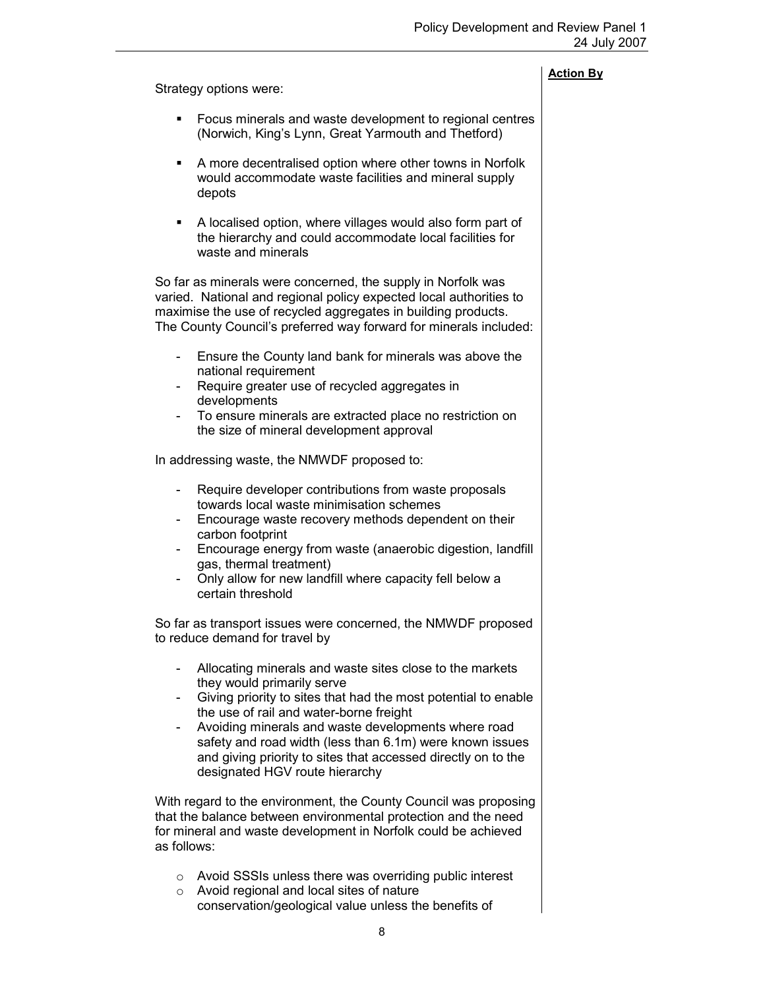Strategy options were:

### Action By

- Focus minerals and waste development to regional centres (Norwich, King's Lynn, Great Yarmouth and Thetford)
- A more decentralised option where other towns in Norfolk would accommodate waste facilities and mineral supply depots
- A localised option, where villages would also form part of the hierarchy and could accommodate local facilities for waste and minerals

So far as minerals were concerned, the supply in Norfolk was varied. National and regional policy expected local authorities to maximise the use of recycled aggregates in building products. The County Council's preferred way forward for minerals included:

- Ensure the County land bank for minerals was above the national requirement
- Require greater use of recycled aggregates in developments
- To ensure minerals are extracted place no restriction on the size of mineral development approval

In addressing waste, the NMWDF proposed to:

- Require developer contributions from waste proposals towards local waste minimisation schemes
- Encourage waste recovery methods dependent on their carbon footprint
- Encourage energy from waste (anaerobic digestion, landfill gas, thermal treatment)
- Only allow for new landfill where capacity fell below a certain threshold

So far as transport issues were concerned, the NMWDF proposed to reduce demand for travel by

- Allocating minerals and waste sites close to the markets they would primarily serve
- Giving priority to sites that had the most potential to enable the use of rail and water-borne freight
- Avoiding minerals and waste developments where road safety and road width (less than 6.1m) were known issues and giving priority to sites that accessed directly on to the designated HGV route hierarchy

With regard to the environment, the County Council was proposing that the balance between environmental protection and the need for mineral and waste development in Norfolk could be achieved as follows:

- o Avoid SSSIs unless there was overriding public interest
- o Avoid regional and local sites of nature conservation/geological value unless the benefits of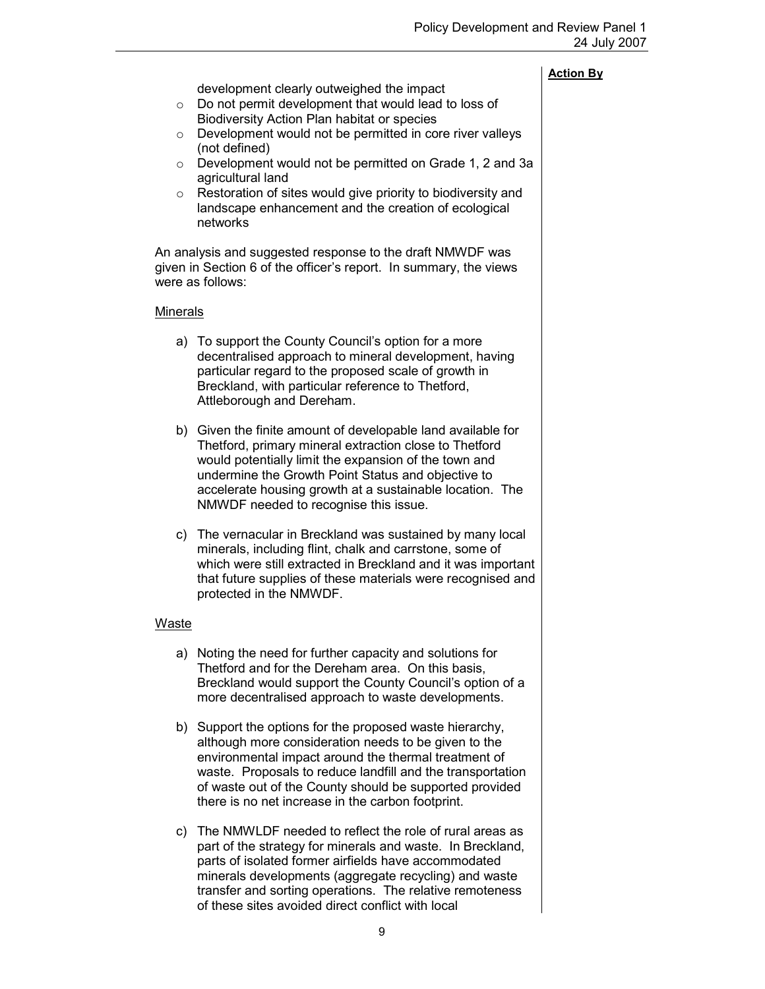development clearly outweighed the impact

- o Do not permit development that would lead to loss of Biodiversity Action Plan habitat or species
- o Development would not be permitted in core river valleys (not defined)
- o Development would not be permitted on Grade 1, 2 and 3a agricultural land
- o Restoration of sites would give priority to biodiversity and landscape enhancement and the creation of ecological networks

An analysis and suggested response to the draft NMWDF was given in Section 6 of the officer's report. In summary, the views were as follows:

### Minerals

- a) To support the County Council's option for a more decentralised approach to mineral development, having particular regard to the proposed scale of growth in Breckland, with particular reference to Thetford, Attleborough and Dereham.
- b) Given the finite amount of developable land available for Thetford, primary mineral extraction close to Thetford would potentially limit the expansion of the town and undermine the Growth Point Status and objective to accelerate housing growth at a sustainable location. The NMWDF needed to recognise this issue.
- c) The vernacular in Breckland was sustained by many local minerals, including flint, chalk and carrstone, some of which were still extracted in Breckland and it was important that future supplies of these materials were recognised and protected in the NMWDF.

### Waste

- a) Noting the need for further capacity and solutions for Thetford and for the Dereham area. On this basis, Breckland would support the County Council's option of a more decentralised approach to waste developments.
- b) Support the options for the proposed waste hierarchy, although more consideration needs to be given to the environmental impact around the thermal treatment of waste. Proposals to reduce landfill and the transportation of waste out of the County should be supported provided there is no net increase in the carbon footprint.
- c) The NMWLDF needed to reflect the role of rural areas as part of the strategy for minerals and waste. In Breckland, parts of isolated former airfields have accommodated minerals developments (aggregate recycling) and waste transfer and sorting operations. The relative remoteness of these sites avoided direct conflict with local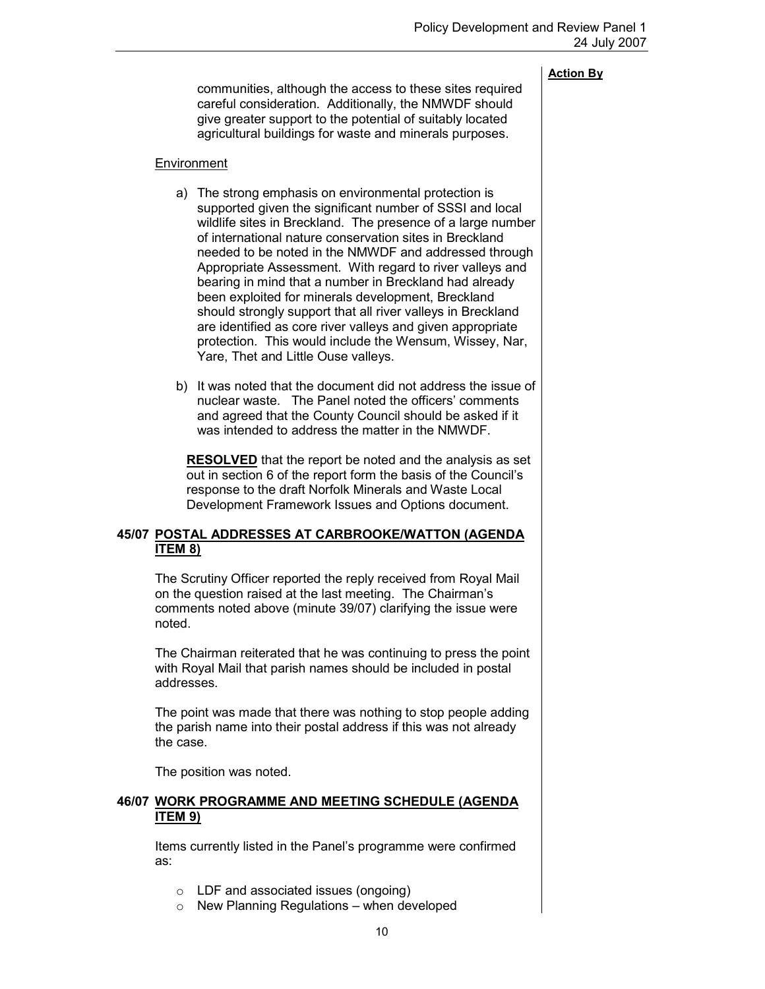communities, although the access to these sites required careful consideration. Additionally, the NMWDF should give greater support to the potential of suitably located agricultural buildings for waste and minerals purposes.

### Environment

- a) The strong emphasis on environmental protection is supported given the significant number of SSSI and local wildlife sites in Breckland. The presence of a large number of international nature conservation sites in Breckland needed to be noted in the NMWDF and addressed through Appropriate Assessment. With regard to river valleys and bearing in mind that a number in Breckland had already been exploited for minerals development, Breckland should strongly support that all river valleys in Breckland are identified as core river valleys and given appropriate protection. This would include the Wensum, Wissey, Nar, Yare, Thet and Little Ouse valleys.
- b) It was noted that the document did not address the issue of nuclear waste. The Panel noted the officers' comments and agreed that the County Council should be asked if it was intended to address the matter in the NMWDF.

RESOLVED that the report be noted and the analysis as set out in section 6 of the report form the basis of the Council's response to the draft Norfolk Minerals and Waste Local Development Framework Issues and Options document.

### 45/07 POSTAL ADDRESSES AT CARBROOKE/WATTON (AGENDA ITEM 8)

 The Scrutiny Officer reported the reply received from Royal Mail on the question raised at the last meeting. The Chairman's comments noted above (minute 39/07) clarifying the issue were noted.

The Chairman reiterated that he was continuing to press the point with Royal Mail that parish names should be included in postal addresses.

The point was made that there was nothing to stop people adding the parish name into their postal address if this was not already the case.

The position was noted.

### 46/07 WORK PROGRAMME AND MEETING SCHEDULE (AGENDA ITEM 9)

 Items currently listed in the Panel's programme were confirmed as:

- o LDF and associated issues (ongoing)
- $\circ$  New Planning Regulations when developed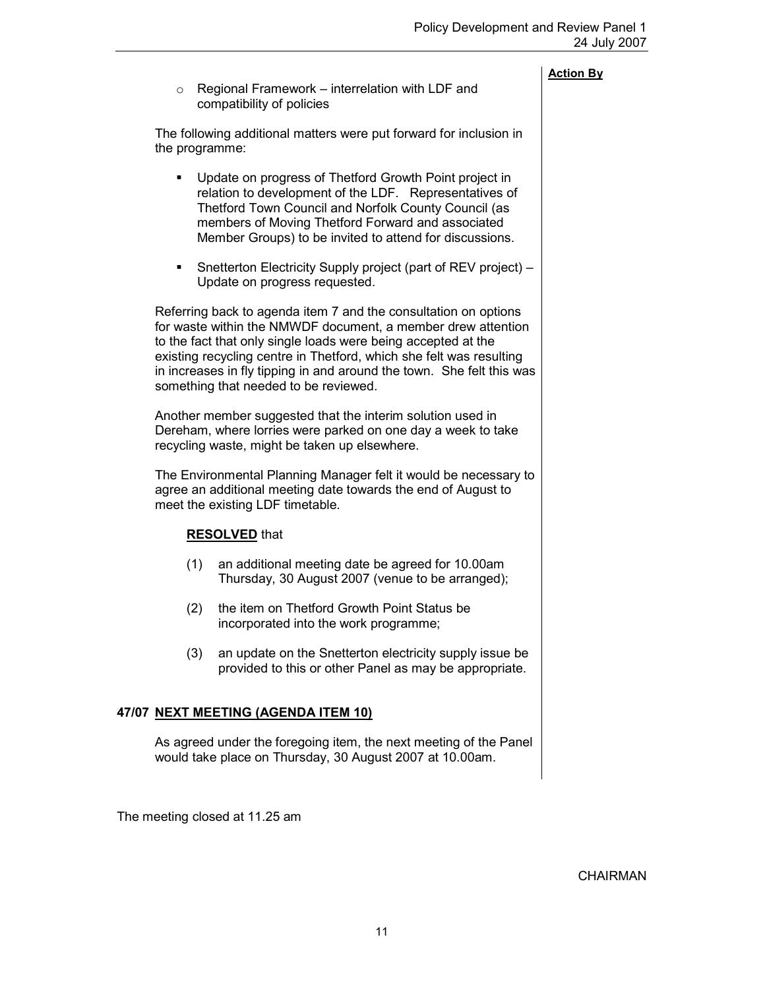|        | <b>Action By</b> |
|--------|------------------|
| DE and |                  |

 $\circ$  Regional Framework – interrelation with LDF and compatibility of policies

The following additional matters were put forward for inclusion in the programme:

- Update on progress of Thetford Growth Point project in relation to development of the LDF. Representatives of Thetford Town Council and Norfolk County Council (as members of Moving Thetford Forward and associated Member Groups) to be invited to attend for discussions.
- Snetterton Electricity Supply project (part of REV project) Update on progress requested.

Referring back to agenda item 7 and the consultation on options for waste within the NMWDF document, a member drew attention to the fact that only single loads were being accepted at the existing recycling centre in Thetford, which she felt was resulting in increases in fly tipping in and around the town. She felt this was something that needed to be reviewed.

Another member suggested that the interim solution used in Dereham, where lorries were parked on one day a week to take recycling waste, might be taken up elsewhere.

The Environmental Planning Manager felt it would be necessary to agree an additional meeting date towards the end of August to meet the existing LDF timetable.

### RESOLVED that

- (1) an additional meeting date be agreed for 10.00am Thursday, 30 August 2007 (venue to be arranged);
- (2) the item on Thetford Growth Point Status be incorporated into the work programme;
- (3) an update on the Snetterton electricity supply issue be provided to this or other Panel as may be appropriate.

### 47/07 NEXT MEETING (AGENDA ITEM 10)

 As agreed under the foregoing item, the next meeting of the Panel would take place on Thursday, 30 August 2007 at 10.00am.

The meeting closed at 11.25 am